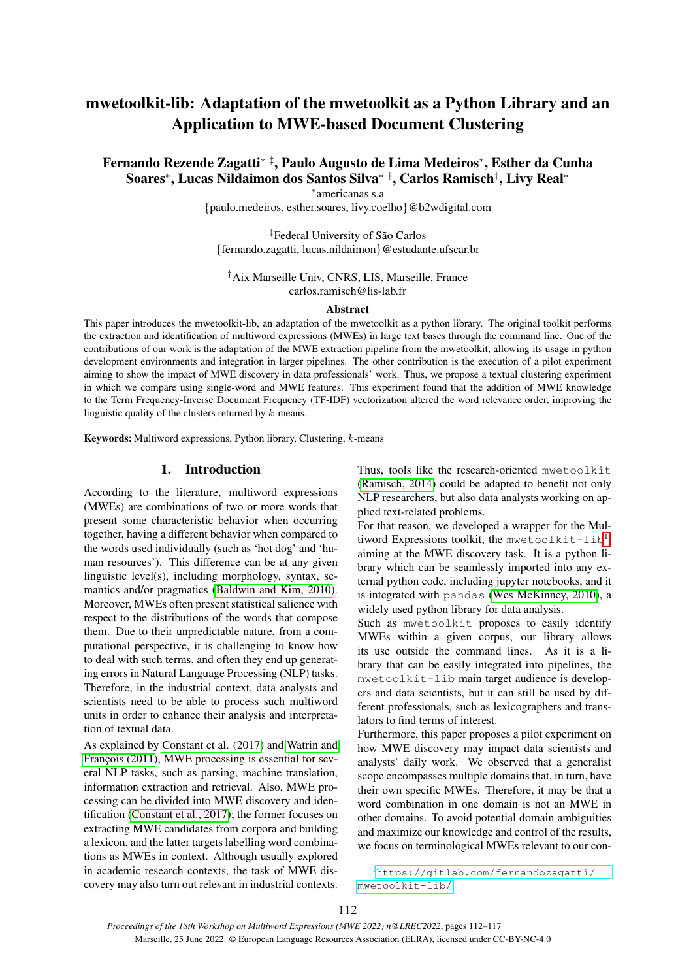# mwetoolkit-lib: Adaptation of the mwetoolkit as a Python Library and an Application to MWE-based Document Clustering

Fernando Rezende Zagatti∗ ‡, Paulo Augusto de Lima Medeiros<sup>∗</sup> , Esther da Cunha Soares<sup>∗</sup> , Lucas Nildaimon dos Santos Silva∗ ‡, Carlos Ramisch† , Livy Real<sup>∗</sup>

∗ americanas s.a

{paulo.medeiros, esther.soares, livy.coelho}@b2wdigital.com

<sup>‡</sup>Federal University of São Carlos {fernando.zagatti, lucas.nildaimon}@estudante.ufscar.br

†Aix Marseille Univ, CNRS, LIS, Marseille, France carlos.ramisch@lis-lab.fr

#### Abstract

This paper introduces the mwetoolkit-lib, an adaptation of the mwetoolkit as a python library. The original toolkit performs the extraction and identification of multiword expressions (MWEs) in large text bases through the command line. One of the contributions of our work is the adaptation of the MWE extraction pipeline from the mwetoolkit, allowing its usage in python development environments and integration in larger pipelines. The other contribution is the execution of a pilot experiment aiming to show the impact of MWE discovery in data professionals' work. Thus, we propose a textual clustering experiment in which we compare using single-word and MWE features. This experiment found that the addition of MWE knowledge to the Term Frequency-Inverse Document Frequency (TF-IDF) vectorization altered the word relevance order, improving the linguistic quality of the clusters returned by k-means.

Keywords: Multiword expressions, Python library, Clustering, k-means

# 1. Introduction

According to the literature, multiword expressions (MWEs) are combinations of two or more words that present some characteristic behavior when occurring together, having a different behavior when compared to the words used individually (such as 'hot dog' and 'human resources'). This difference can be at any given linguistic level(s), including morphology, syntax, semantics and/or pragmatics [\(Baldwin and Kim, 2010\)](#page-4-0). Moreover, MWEs often present statistical salience with respect to the distributions of the words that compose them. Due to their unpredictable nature, from a computational perspective, it is challenging to know how to deal with such terms, and often they end up generating errors in Natural Language Processing (NLP) tasks. Therefore, in the industrial context, data analysts and scientists need to be able to process such multiword units in order to enhance their analysis and interpretation of textual data.

As explained by [Constant et al. \(2017\)](#page-4-1) and [Watrin and](#page-5-0) François (2011), MWE processing is essential for several NLP tasks, such as parsing, machine translation, information extraction and retrieval. Also, MWE processing can be divided into MWE discovery and identification [\(Constant et al., 2017\)](#page-4-1); the former focuses on extracting MWE candidates from corpora and building a lexicon, and the latter targets labelling word combinations as MWEs in context. Although usually explored in academic research contexts, the task of MWE discovery may also turn out relevant in industrial contexts. Thus, tools like the research-oriented mwetoolkit [\(Ramisch, 2014\)](#page-5-1) could be adapted to benefit not only NLP researchers, but also data analysts working on applied text-related problems.

For that reason, we developed a wrapper for the Mul-tiword Expressions toolkit, the mwetoolkit-lib<sup>[1](#page-0-0)</sup>, aiming at the MWE discovery task. It is a python library which can be seamlessly imported into any external python code, including jupyter notebooks, and it is integrated with pandas [\(Wes McKinney, 2010\)](#page-5-2), a widely used python library for data analysis.

Such as mwetoolkit proposes to easily identify MWEs within a given corpus, our library allows its use outside the command lines. As it is a library that can be easily integrated into pipelines, the mwetoolkit-lib main target audience is developers and data scientists, but it can still be used by different professionals, such as lexicographers and translators to find terms of interest.

Furthermore, this paper proposes a pilot experiment on how MWE discovery may impact data scientists and analysts' daily work. We observed that a generalist scope encompasses multiple domains that, in turn, have their own specific MWEs. Therefore, it may be that a word combination in one domain is not an MWE in other domains. To avoid potential domain ambiguities and maximize our knowledge and control of the results, we focus on terminological MWEs relevant to our con-

<span id="page-0-0"></span><sup>1</sup>[https://gitlab.com/fernandozagatti/](https://gitlab.com/fernandozagatti/mwetoolkit-lib/) [mwetoolkit-lib/](https://gitlab.com/fernandozagatti/mwetoolkit-lib/)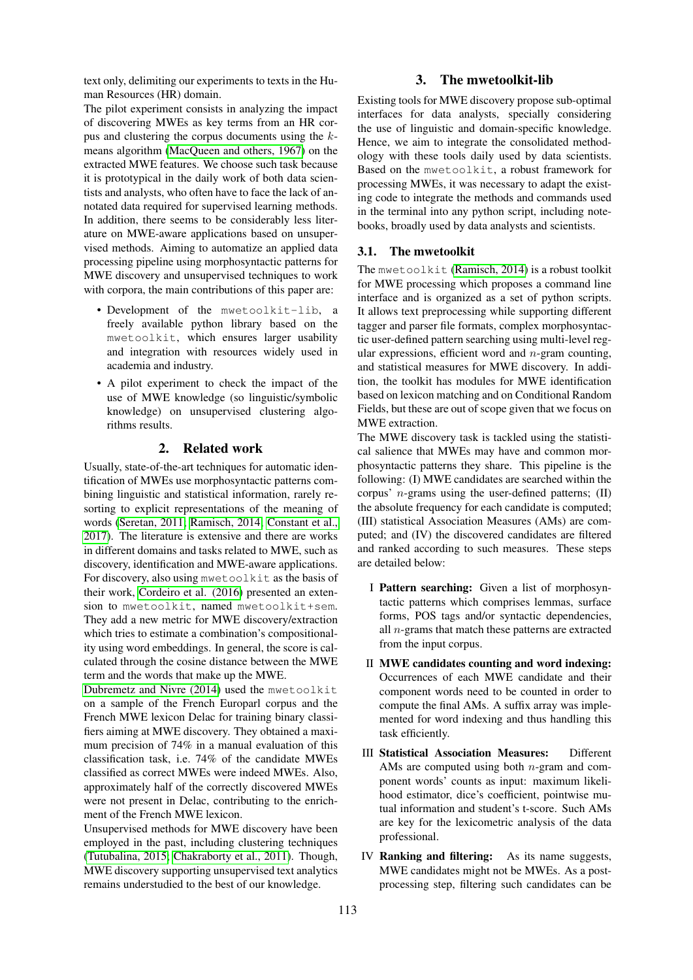text only, delimiting our experiments to texts in the Human Resources (HR) domain.

# 3. The mwetoolkit-lib

The pilot experiment consists in analyzing the impact of discovering MWEs as key terms from an HR corpus and clustering the corpus documents using the kmeans algorithm [\(MacQueen and others, 1967\)](#page-4-2) on the extracted MWE features. We choose such task because it is prototypical in the daily work of both data scientists and analysts, who often have to face the lack of annotated data required for supervised learning methods. In addition, there seems to be considerably less literature on MWE-aware applications based on unsupervised methods. Aiming to automatize an applied data processing pipeline using morphosyntactic patterns for MWE discovery and unsupervised techniques to work with corpora, the main contributions of this paper are:

- Development of the mwetoolkit-lib, a freely available python library based on the mwetoolkit, which ensures larger usability and integration with resources widely used in academia and industry.
- A pilot experiment to check the impact of the use of MWE knowledge (so linguistic/symbolic knowledge) on unsupervised clustering algorithms results.

# 2. Related work

Usually, state-of-the-art techniques for automatic identification of MWEs use morphosyntactic patterns combining linguistic and statistical information, rarely resorting to explicit representations of the meaning of words [\(Seretan, 2011;](#page-5-3) [Ramisch, 2014;](#page-5-1) [Constant et al.,](#page-4-1) [2017\)](#page-4-1). The literature is extensive and there are works in different domains and tasks related to MWE, such as discovery, identification and MWE-aware applications. For discovery, also using mwetoolkit as the basis of their work, [Cordeiro et al. \(2016\)](#page-4-3) presented an extension to mwetoolkit, named mwetoolkit+sem. They add a new metric for MWE discovery/extraction which tries to estimate a combination's compositionality using word embeddings. In general, the score is calculated through the cosine distance between the MWE term and the words that make up the MWE.

[Dubremetz and Nivre \(2014\)](#page-4-4) used the mwetoolkit on a sample of the French Europarl corpus and the French MWE lexicon Delac for training binary classifiers aiming at MWE discovery. They obtained a maximum precision of 74% in a manual evaluation of this classification task, i.e. 74% of the candidate MWEs classified as correct MWEs were indeed MWEs. Also, approximately half of the correctly discovered MWEs were not present in Delac, contributing to the enrichment of the French MWE lexicon.

Unsupervised methods for MWE discovery have been employed in the past, including clustering techniques [\(Tutubalina, 2015;](#page-5-4) [Chakraborty et al., 2011\)](#page-4-5). Though, MWE discovery supporting unsupervised text analytics remains understudied to the best of our knowledge.

Existing tools for MWE discovery propose sub-optimal interfaces for data analysts, specially considering the use of linguistic and domain-specific knowledge. Hence, we aim to integrate the consolidated methodology with these tools daily used by data scientists. Based on the mwetoolkit, a robust framework for processing MWEs, it was necessary to adapt the existing code to integrate the methods and commands used in the terminal into any python script, including notebooks, broadly used by data analysts and scientists.

#### 3.1. The mwetoolkit

The mwetoolkit [\(Ramisch, 2014\)](#page-5-1) is a robust toolkit for MWE processing which proposes a command line interface and is organized as a set of python scripts. It allows text preprocessing while supporting different tagger and parser file formats, complex morphosyntactic user-defined pattern searching using multi-level regular expressions, efficient word and  $n$ -gram counting, and statistical measures for MWE discovery. In addition, the toolkit has modules for MWE identification based on lexicon matching and on Conditional Random Fields, but these are out of scope given that we focus on MWE extraction.

The MWE discovery task is tackled using the statistical salience that MWEs may have and common morphosyntactic patterns they share. This pipeline is the following: (I) MWE candidates are searched within the corpus' *n*-grams using the user-defined patterns;  $(II)$ the absolute frequency for each candidate is computed; (III) statistical Association Measures (AMs) are computed; and (IV) the discovered candidates are filtered and ranked according to such measures. These steps are detailed below:

- I Pattern searching: Given a list of morphosyntactic patterns which comprises lemmas, surface forms, POS tags and/or syntactic dependencies, all  $n$ -grams that match these patterns are extracted from the input corpus.
- II MWE candidates counting and word indexing: Occurrences of each MWE candidate and their component words need to be counted in order to compute the final AMs. A suffix array was implemented for word indexing and thus handling this task efficiently.
- III Statistical Association Measures: Different AMs are computed using both n-gram and component words' counts as input: maximum likelihood estimator, dice's coefficient, pointwise mutual information and student's t-score. Such AMs are key for the lexicometric analysis of the data professional.
- IV Ranking and filtering: As its name suggests, MWE candidates might not be MWEs. As a postprocessing step, filtering such candidates can be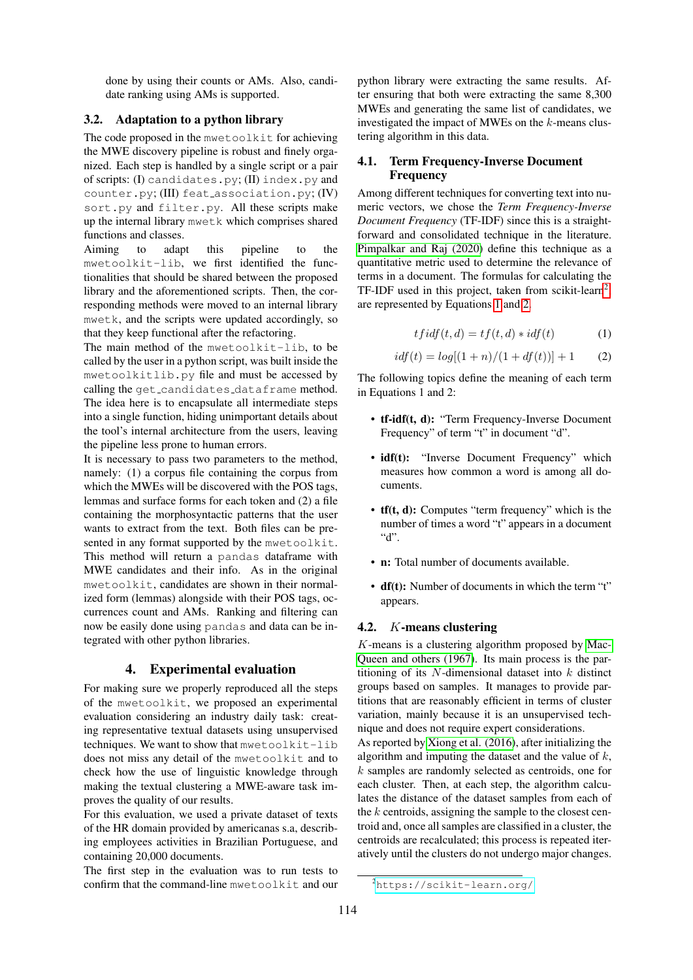done by using their counts or AMs. Also, candidate ranking using AMs is supported.

### 3.2. Adaptation to a python library

The code proposed in the mwetoolkit for achieving the MWE discovery pipeline is robust and finely organized. Each step is handled by a single script or a pair of scripts: (I) candidates.py; (II) index.py and counter.py; (III) feat association.py; (IV) sort.py and filter.py. All these scripts make up the internal library mwetk which comprises shared functions and classes.

Aiming to adapt this pipeline to the mwetoolkit-lib, we first identified the functionalities that should be shared between the proposed library and the aforementioned scripts. Then, the corresponding methods were moved to an internal library mwetk, and the scripts were updated accordingly, so that they keep functional after the refactoring.

The main method of the mwetoolkit-lib, to be called by the user in a python script, was built inside the mwetoolkitlib.py file and must be accessed by calling the get\_candidates\_dataframe method. The idea here is to encapsulate all intermediate steps into a single function, hiding unimportant details about the tool's internal architecture from the users, leaving the pipeline less prone to human errors.

It is necessary to pass two parameters to the method, namely: (1) a corpus file containing the corpus from which the MWEs will be discovered with the POS tags, lemmas and surface forms for each token and (2) a file containing the morphosyntactic patterns that the user wants to extract from the text. Both files can be presented in any format supported by the mwetoolkit. This method will return a pandas dataframe with MWE candidates and their info. As in the original mwetoolkit, candidates are shown in their normalized form (lemmas) alongside with their POS tags, occurrences count and AMs. Ranking and filtering can now be easily done using pandas and data can be integrated with other python libraries.

#### 4. Experimental evaluation

For making sure we properly reproduced all the steps of the mwetoolkit, we proposed an experimental evaluation considering an industry daily task: creating representative textual datasets using unsupervised techniques. We want to show that mwetoolkit-lib does not miss any detail of the mwetoolkit and to check how the use of linguistic knowledge through making the textual clustering a MWE-aware task improves the quality of our results.

For this evaluation, we used a private dataset of texts of the HR domain provided by americanas s.a, describing employees activities in Brazilian Portuguese, and containing 20,000 documents.

The first step in the evaluation was to run tests to confirm that the command-line mwetoolkit and our python library were extracting the same results. After ensuring that both were extracting the same 8,300 MWEs and generating the same list of candidates, we investigated the impact of MWEs on the  $k$ -means clustering algorithm in this data.

### 4.1. Term Frequency-Inverse Document **Frequency**

Among different techniques for converting text into numeric vectors, we chose the *Term Frequency-Inverse Document Frequency* (TF-IDF) since this is a straightforward and consolidated technique in the literature. [Pimpalkar and Raj \(2020\)](#page-5-5) define this technique as a quantitative metric used to determine the relevance of terms in a document. The formulas for calculating the TF-IDF used in this project, taken from scikit-learn<sup>[2](#page-2-0)</sup>, are represented by Equations [1](#page-2-1) and [2.](#page-2-2)

<span id="page-2-1"></span>
$$
tfidf(t,d) = tf(t,d) * idf(t)
$$
\n(1)

<span id="page-2-2"></span>
$$
idf(t) = log[(1+n)/(1+df(t))] + 1
$$
 (2)

The following topics define the meaning of each term in Equations 1 and 2:

- tf-idf(t, d): "Term Frequency-Inverse Document Frequency" of term "t" in document "d".
- idf(t): "Inverse Document Frequency" which measures how common a word is among all documents.
- tf(t, d): Computes "term frequency" which is the number of times a word "t" appears in a document  $"d"$
- n: Total number of documents available.
- df(t): Number of documents in which the term "t" appears.

#### 4.2. K-means clustering

 $K$ -means is a clustering algorithm proposed by [Mac-](#page-4-2)[Queen and others \(1967\)](#page-4-2). Its main process is the partitioning of its  $N$ -dimensional dataset into  $k$  distinct groups based on samples. It manages to provide partitions that are reasonably efficient in terms of cluster variation, mainly because it is an unsupervised technique and does not require expert considerations.

As reported by [Xiong et al. \(2016\)](#page-5-6), after initializing the algorithm and imputing the dataset and the value of  $k$ , k samples are randomly selected as centroids, one for each cluster. Then, at each step, the algorithm calculates the distance of the dataset samples from each of the  $k$  centroids, assigning the sample to the closest centroid and, once all samples are classified in a cluster, the centroids are recalculated; this process is repeated iteratively until the clusters do not undergo major changes.

<span id="page-2-0"></span><sup>2</sup><https://scikit-learn.org/>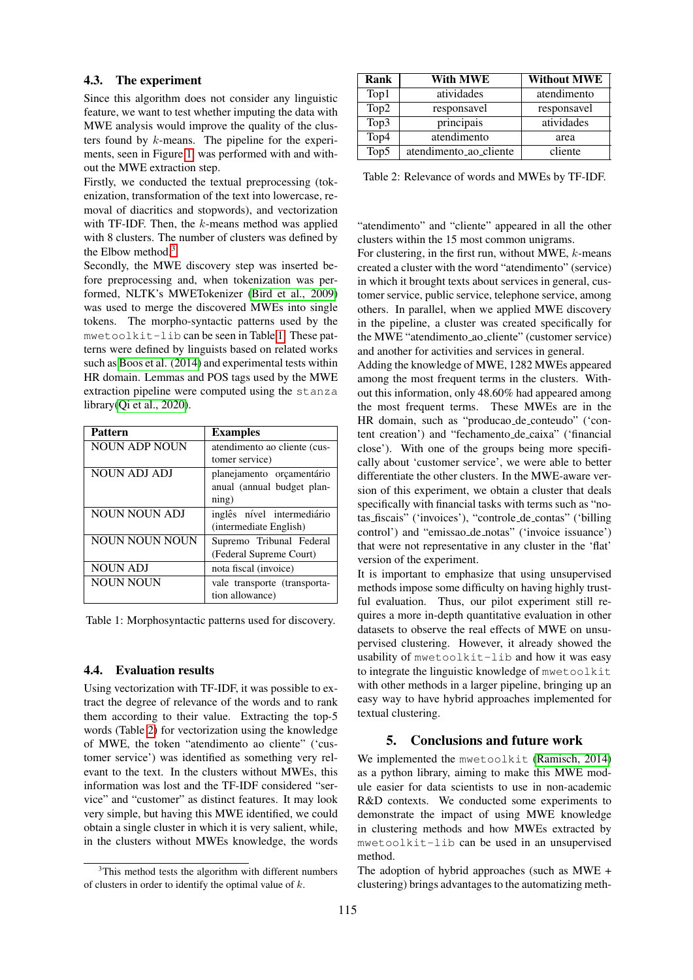#### 4.3. The experiment

Since this algorithm does not consider any linguistic feature, we want to test whether imputing the data with MWE analysis would improve the quality of the clusters found by k-means. The pipeline for the experiments, seen in Figure [1,](#page-4-6) was performed with and without the MWE extraction step.

Firstly, we conducted the textual preprocessing (tokenization, transformation of the text into lowercase, removal of diacritics and stopwords), and vectorization with TF-IDF. Then, the  $k$ -means method was applied with 8 clusters. The number of clusters was defined by the Elbow method.[3](#page-3-0)

Secondly, the MWE discovery step was inserted before preprocessing and, when tokenization was performed, NLTK's MWETokenizer [\(Bird et al., 2009\)](#page-4-7) was used to merge the discovered MWEs into single tokens. The morpho-syntactic patterns used by the mwetoolkit-lib can be seen in Table [1.](#page-3-1) These patterns were defined by linguists based on related works such as [Boos et al. \(2014\)](#page-4-8) and experimental tests within HR domain. Lemmas and POS tags used by the MWE extraction pipeline were computed using the stanza library[\(Qi et al., 2020\)](#page-5-7).

| <b>Pattern</b>        | <b>Examples</b>              |  |
|-----------------------|------------------------------|--|
| <b>NOUN ADP NOUN</b>  | atendimento ao cliente (cus- |  |
|                       | tomer service)               |  |
| NOUN ADJ ADJ          | planejamento orçamentário    |  |
|                       | anual (annual budget plan-   |  |
|                       | $n$ ing)                     |  |
| NOUN NOUN ADJ         | inglês nível intermediário   |  |
|                       | (intermediate English)       |  |
| <b>NOUN NOUN NOUN</b> | Supremo Tribunal Federal     |  |
|                       | (Federal Supreme Court)      |  |
| <b>NOUN ADJ</b>       | nota fiscal (invoice)        |  |
| <b>NOUN NOUN</b>      | vale transporte (transporta- |  |
|                       | tion allowance)              |  |

<span id="page-3-1"></span>Table 1: Morphosyntactic patterns used for discovery.

### 4.4. Evaluation results

Using vectorization with TF-IDF, it was possible to extract the degree of relevance of the words and to rank them according to their value. Extracting the top-5 words (Table [2\)](#page-3-2) for vectorization using the knowledge of MWE, the token "atendimento ao cliente" ('customer service') was identified as something very relevant to the text. In the clusters without MWEs, this information was lost and the TF-IDF considered "service" and "customer" as distinct features. It may look very simple, but having this MWE identified, we could obtain a single cluster in which it is very salient, while, in the clusters without MWEs knowledge, the words

| Rank | With MWE               | <b>Without MWE</b> |
|------|------------------------|--------------------|
| Top1 | atividades             | atendimento        |
| Top2 | responsavel            | responsavel        |
| Top3 | principais             | atividades         |
| Top4 | atendimento            | area               |
| Top5 | atendimento_ao_cliente | cliente            |

<span id="page-3-2"></span>Table 2: Relevance of words and MWEs by TF-IDF.

"atendimento" and "cliente" appeared in all the other clusters within the 15 most common unigrams.

For clustering, in the first run, without MWE,  $k$ -means created a cluster with the word "atendimento" (service) in which it brought texts about services in general, customer service, public service, telephone service, among others. In parallel, when we applied MWE discovery in the pipeline, a cluster was created specifically for the MWE "atendimento ao cliente" (customer service) and another for activities and services in general.

Adding the knowledge of MWE, 1282 MWEs appeared among the most frequent terms in the clusters. Without this information, only 48.60% had appeared among the most frequent terms. These MWEs are in the HR domain, such as "producao de conteudo" ('content creation') and "fechamento de caixa" ('financial close'). With one of the groups being more specifically about 'customer service', we were able to better differentiate the other clusters. In the MWE-aware version of this experiment, we obtain a cluster that deals specifically with financial tasks with terms such as "notas fiscais" ('invoices'), "controle de contas" ('billing control') and "emissao de notas" ('invoice issuance') that were not representative in any cluster in the 'flat' version of the experiment.

It is important to emphasize that using unsupervised methods impose some difficulty on having highly trustful evaluation. Thus, our pilot experiment still requires a more in-depth quantitative evaluation in other datasets to observe the real effects of MWE on unsupervised clustering. However, it already showed the usability of mwetoolkit-lib and how it was easy to integrate the linguistic knowledge of mwetoolkit with other methods in a larger pipeline, bringing up an easy way to have hybrid approaches implemented for textual clustering.

# 5. Conclusions and future work

We implemented the mwetoolkit [\(Ramisch, 2014\)](#page-5-1) as a python library, aiming to make this MWE module easier for data scientists to use in non-academic R&D contexts. We conducted some experiments to demonstrate the impact of using MWE knowledge in clustering methods and how MWEs extracted by mwetoolkit-lib can be used in an unsupervised method.

The adoption of hybrid approaches (such as MWE + clustering) brings advantages to the automatizing meth-

<span id="page-3-0"></span><sup>&</sup>lt;sup>3</sup>This method tests the algorithm with different numbers of clusters in order to identify the optimal value of  $k$ .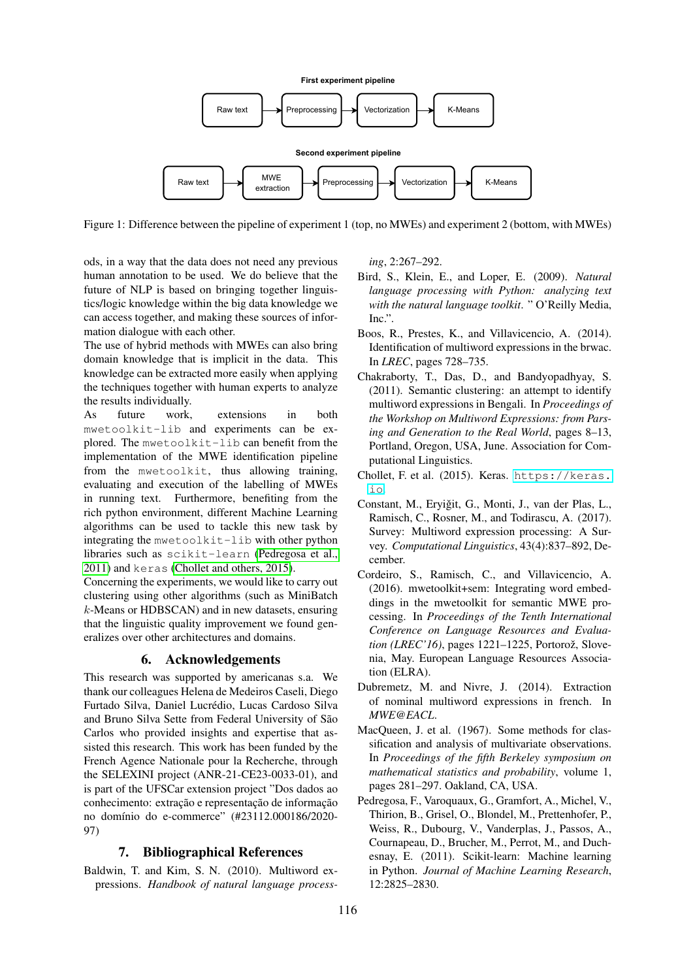



<span id="page-4-6"></span>Figure 1: Difference between the pipeline of experiment 1 (top, no MWEs) and experiment 2 (bottom, with MWEs)

ods, in a way that the data does not need any previous human annotation to be used. We do believe that the future of NLP is based on bringing together linguistics/logic knowledge within the big data knowledge we can access together, and making these sources of information dialogue with each other.

The use of hybrid methods with MWEs can also bring domain knowledge that is implicit in the data. This knowledge can be extracted more easily when applying the techniques together with human experts to analyze the results individually.

As future work, extensions in both mwetoolkit-lib and experiments can be explored. The mwetoolkit-lib can benefit from the implementation of the MWE identification pipeline from the mwetoolkit, thus allowing training, evaluating and execution of the labelling of MWEs in running text. Furthermore, benefiting from the rich python environment, different Machine Learning algorithms can be used to tackle this new task by integrating the mwetoolkit-lib with other python libraries such as scikit-learn [\(Pedregosa et al.,](#page-4-9) [2011\)](#page-4-9) and keras [\(Chollet and others, 2015\)](#page-4-10).

Concerning the experiments, we would like to carry out clustering using other algorithms (such as MiniBatch k-Means or HDBSCAN) and in new datasets, ensuring that the linguistic quality improvement we found generalizes over other architectures and domains.

# 6. Acknowledgements

This research was supported by americanas s.a. We thank our colleagues Helena de Medeiros Caseli, Diego Furtado Silva, Daniel Lucrédio, Lucas Cardoso Silva and Bruno Silva Sette from Federal University of São Carlos who provided insights and expertise that assisted this research. This work has been funded by the French Agence Nationale pour la Recherche, through the SELEXINI project (ANR-21-CE23-0033-01), and is part of the UFSCar extension project "Dos dados ao conhecimento: extração e representação de informação no domínio do e-commerce" (#23112.000186/2020-97)

# 7. Bibliographical References

<span id="page-4-0"></span>Baldwin, T. and Kim, S. N. (2010). Multiword expressions. *Handbook of natural language process-* *ing*, 2:267–292.

- <span id="page-4-7"></span>Bird, S., Klein, E., and Loper, E. (2009). *Natural language processing with Python: analyzing text with the natural language toolkit*. " O'Reilly Media, Inc.".
- <span id="page-4-8"></span>Boos, R., Prestes, K., and Villavicencio, A. (2014). Identification of multiword expressions in the brwac. In *LREC*, pages 728–735.
- <span id="page-4-5"></span>Chakraborty, T., Das, D., and Bandyopadhyay, S. (2011). Semantic clustering: an attempt to identify multiword expressions in Bengali. In *Proceedings of the Workshop on Multiword Expressions: from Parsing and Generation to the Real World*, pages 8–13, Portland, Oregon, USA, June. Association for Computational Linguistics.
- <span id="page-4-10"></span>Chollet, F. et al. (2015). Keras. [https://keras.](https://keras.io) [io](https://keras.io).
- <span id="page-4-1"></span>Constant, M., Eryiğit, G., Monti, J., van der Plas, L., Ramisch, C., Rosner, M., and Todirascu, A. (2017). Survey: Multiword expression processing: A Survey. *Computational Linguistics*, 43(4):837–892, December.
- <span id="page-4-3"></span>Cordeiro, S., Ramisch, C., and Villavicencio, A. (2016). mwetoolkit+sem: Integrating word embeddings in the mwetoolkit for semantic MWE processing. In *Proceedings of the Tenth International Conference on Language Resources and Evaluation (LREC'16)*, pages 1221-1225, Portorož, Slovenia, May. European Language Resources Association (ELRA).
- <span id="page-4-4"></span>Dubremetz, M. and Nivre, J. (2014). Extraction of nominal multiword expressions in french. In *MWE@EACL*.
- <span id="page-4-2"></span>MacQueen, J. et al. (1967). Some methods for classification and analysis of multivariate observations. In *Proceedings of the fifth Berkeley symposium on mathematical statistics and probability*, volume 1, pages 281–297. Oakland, CA, USA.
- <span id="page-4-9"></span>Pedregosa, F., Varoquaux, G., Gramfort, A., Michel, V., Thirion, B., Grisel, O., Blondel, M., Prettenhofer, P., Weiss, R., Dubourg, V., Vanderplas, J., Passos, A., Cournapeau, D., Brucher, M., Perrot, M., and Duchesnay, E. (2011). Scikit-learn: Machine learning in Python. *Journal of Machine Learning Research*, 12:2825–2830.